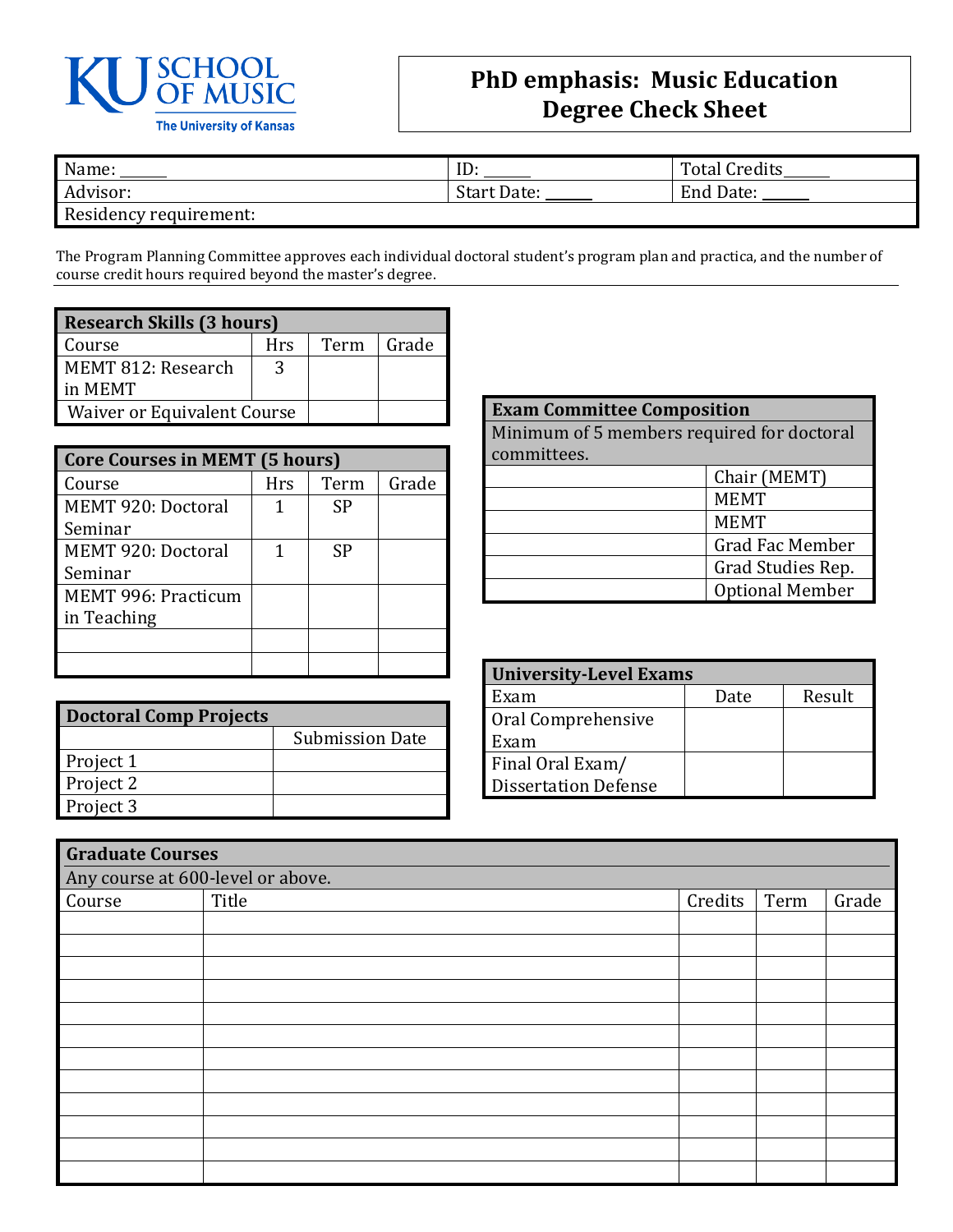

## **PhD emphasis: Music Education Degree Check Sheet**

| Name:                  | ענ                 | <b>Total Credits</b> |
|------------------------|--------------------|----------------------|
| Advisor:               | <b>Start Date:</b> | End Date:            |
| Residency requirement: |                    |                      |

The Program Planning Committee approves each individual doctoral student's program plan and practica, and the number of course credit hours required beyond the master's degree.

| <b>Research Skills (3 hours)</b>   |     |      |       |  |  |
|------------------------------------|-----|------|-------|--|--|
| Course                             | Hrs | Term | Grade |  |  |
| MEMT 812: Research                 | 3   |      |       |  |  |
| in MEMT                            |     |      |       |  |  |
| <b>Waiver or Equivalent Course</b> |     |      |       |  |  |

| <b>Core Courses in MEMT (5 hours)</b> |            |      |       |  |  |
|---------------------------------------|------------|------|-------|--|--|
| Course                                | <b>Hrs</b> | Term | Grade |  |  |
| MEMT 920: Doctoral                    |            | SP   |       |  |  |
| Seminar                               |            |      |       |  |  |
| MEMT 920: Doctoral                    |            | SP   |       |  |  |
| Seminar                               |            |      |       |  |  |
| MEMT 996: Practicum                   |            |      |       |  |  |
| in Teaching                           |            |      |       |  |  |
|                                       |            |      |       |  |  |
|                                       |            |      |       |  |  |

| <b>Doctoral Comp Projects</b> |                        |  |  |  |
|-------------------------------|------------------------|--|--|--|
|                               | <b>Submission Date</b> |  |  |  |
| Project 1                     |                        |  |  |  |
| Project 2                     |                        |  |  |  |
| Project 3                     |                        |  |  |  |

| <b>Exam Committee Composition</b>          |             |  |  |
|--------------------------------------------|-------------|--|--|
| Minimum of 5 members required for doctoral |             |  |  |
| committees.                                |             |  |  |
| Chair (MEMT)                               |             |  |  |
| <b>MEMT</b>                                |             |  |  |
|                                            | <b>MEMT</b> |  |  |
| <b>Grad Fac Member</b>                     |             |  |  |
| Grad Studies Rep.                          |             |  |  |
| <b>Optional Member</b>                     |             |  |  |

| <b>University-Level Exams</b> |      |        |  |  |  |
|-------------------------------|------|--------|--|--|--|
| Exam                          | Date | Result |  |  |  |
| Oral Comprehensive            |      |        |  |  |  |
| Exam                          |      |        |  |  |  |
| Final Oral Exam/              |      |        |  |  |  |
| <b>Dissertation Defense</b>   |      |        |  |  |  |

| <b>Graduate Courses</b>           |       |         |      |       |  |
|-----------------------------------|-------|---------|------|-------|--|
| Any course at 600-level or above. |       |         |      |       |  |
| Course                            | Title | Credits | Term | Grade |  |
|                                   |       |         |      |       |  |
|                                   |       |         |      |       |  |
|                                   |       |         |      |       |  |
|                                   |       |         |      |       |  |
|                                   |       |         |      |       |  |
|                                   |       |         |      |       |  |
|                                   |       |         |      |       |  |
|                                   |       |         |      |       |  |
|                                   |       |         |      |       |  |
|                                   |       |         |      |       |  |
|                                   |       |         |      |       |  |
|                                   |       |         |      |       |  |